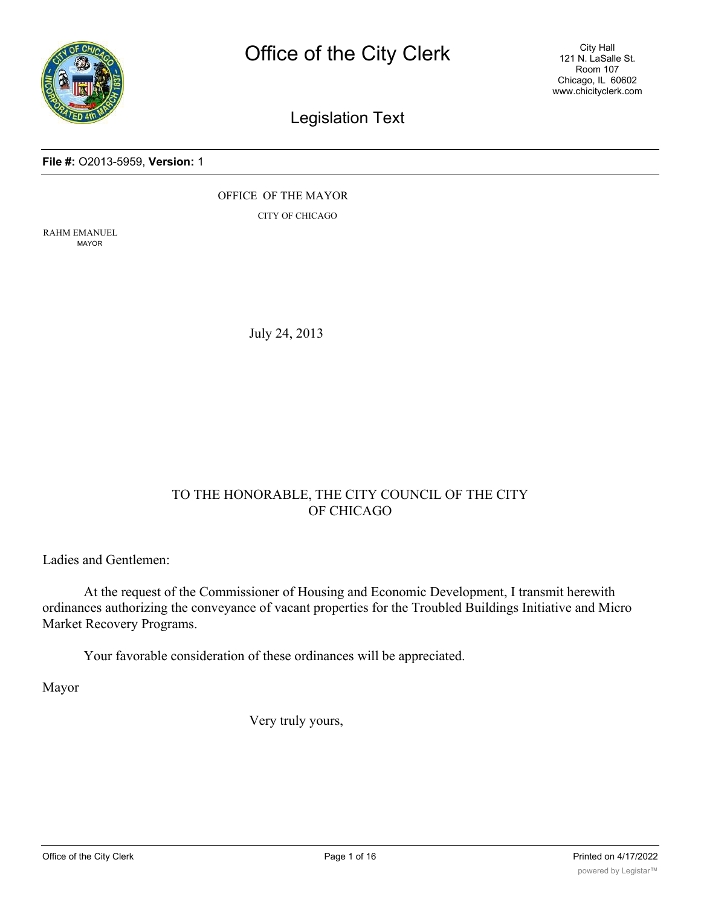

City Hall 121 N. LaSalle St. Room 107 Chicago, IL 60602 www.chicityclerk.com

# Legislation Text

#### **File #:** O2013-5959, **Version:** 1

OFFICE OF THE MAYOR

CITY OF CHICAGO

RAHM EMANUEL MAYOR

July 24, 2013

# TO THE HONORABLE, THE CITY COUNCIL OF THE CITY OF CHICAGO

Ladies and Gentlemen:

At the request of the Commissioner of Housing and Economic Development, I transmit herewith ordinances authorizing the conveyance of vacant properties for the Troubled Buildings Initiative and Micro Market Recovery Programs.

Your favorable consideration of these ordinances will be appreciated.

Mayor

Very truly yours,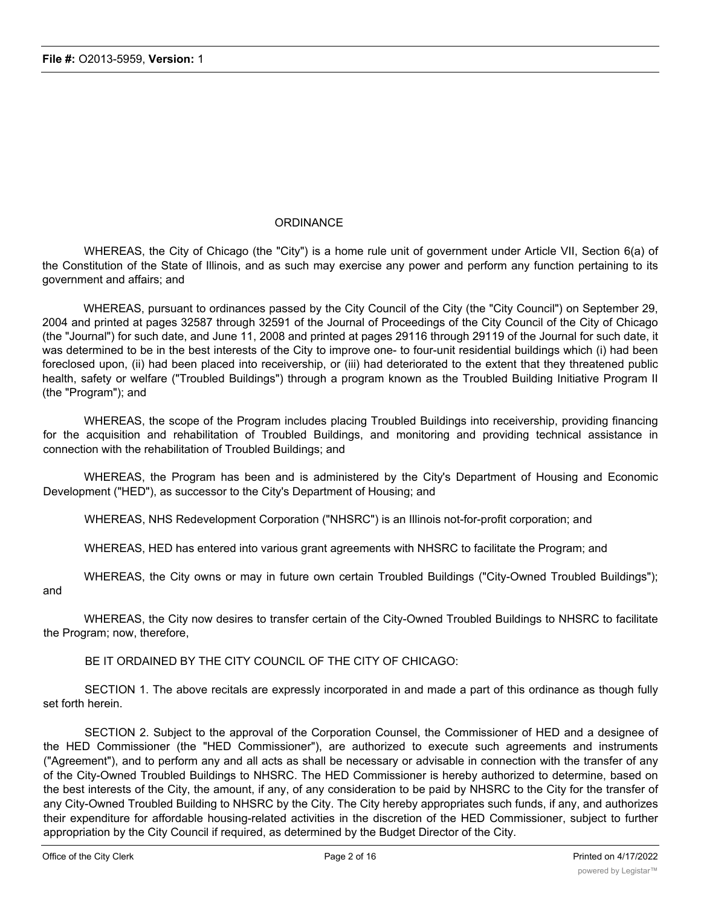## **ORDINANCE**

WHEREAS, the City of Chicago (the "City") is a home rule unit of government under Article VII, Section 6(a) of the Constitution of the State of Illinois, and as such may exercise any power and perform any function pertaining to its government and affairs; and

WHEREAS, pursuant to ordinances passed by the City Council of the City (the "City Council") on September 29, 2004 and printed at pages 32587 through 32591 of the Journal of Proceedings of the City Council of the City of Chicago (the "Journal") for such date, and June 11, 2008 and printed at pages 29116 through 29119 of the Journal for such date, it was determined to be in the best interests of the City to improve one- to four-unit residential buildings which (i) had been foreclosed upon, (ii) had been placed into receivership, or (iii) had deteriorated to the extent that they threatened public health, safety or welfare ("Troubled Buildings") through a program known as the Troubled Building Initiative Program II (the "Program"); and

WHEREAS, the scope of the Program includes placing Troubled Buildings into receivership, providing financing for the acquisition and rehabilitation of Troubled Buildings, and monitoring and providing technical assistance in connection with the rehabilitation of Troubled Buildings; and

WHEREAS, the Program has been and is administered by the City's Department of Housing and Economic Development ("HED"), as successor to the City's Department of Housing; and

WHEREAS, NHS Redevelopment Corporation ("NHSRC") is an Illinois not-for-profit corporation; and

WHEREAS, HED has entered into various grant agreements with NHSRC to facilitate the Program; and

WHEREAS, the City owns or may in future own certain Troubled Buildings ("City-Owned Troubled Buildings"); and

WHEREAS, the City now desires to transfer certain of the City-Owned Troubled Buildings to NHSRC to facilitate the Program; now, therefore,

BE IT ORDAINED BY THE CITY COUNCIL OF THE CITY OF CHICAGO:

SECTION 1. The above recitals are expressly incorporated in and made a part of this ordinance as though fully set forth herein.

SECTION 2. Subject to the approval of the Corporation Counsel, the Commissioner of HED and a designee of the HED Commissioner (the "HED Commissioner"), are authorized to execute such agreements and instruments ("Agreement"), and to perform any and all acts as shall be necessary or advisable in connection with the transfer of any of the City-Owned Troubled Buildings to NHSRC. The HED Commissioner is hereby authorized to determine, based on the best interests of the City, the amount, if any, of any consideration to be paid by NHSRC to the City for the transfer of any City-Owned Troubled Building to NHSRC by the City. The City hereby appropriates such funds, if any, and authorizes their expenditure for affordable housing-related activities in the discretion of the HED Commissioner, subject to further appropriation by the City Council if required, as determined by the Budget Director of the City.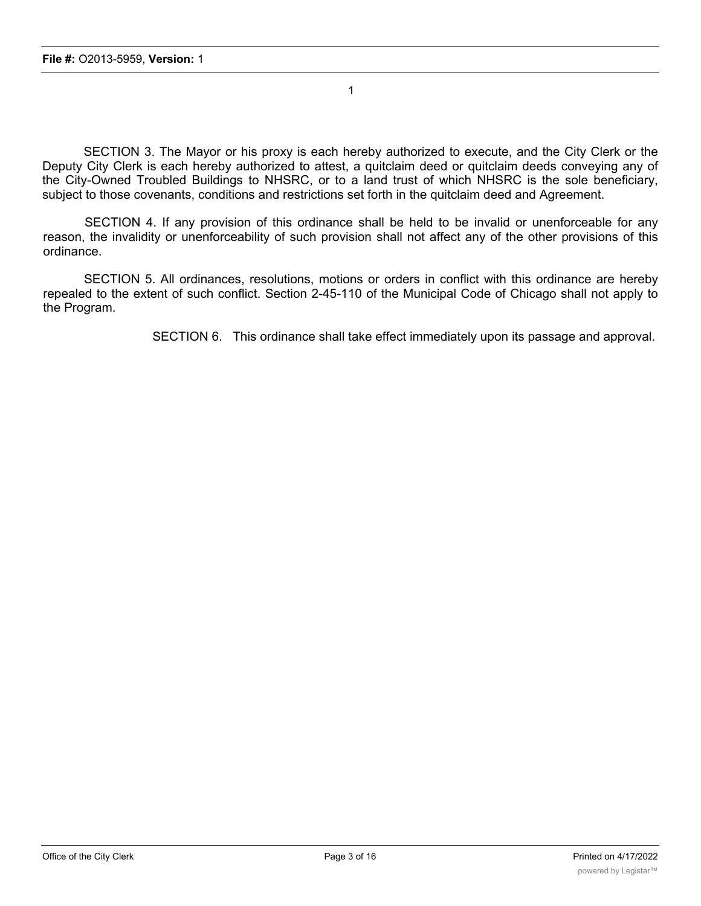SECTION 3. The Mayor or his proxy is each hereby authorized to execute, and the City Clerk or the Deputy City Clerk is each hereby authorized to attest, a quitclaim deed or quitclaim deeds conveying any of the City-Owned Troubled Buildings to NHSRC, or to a land trust of which NHSRC is the sole beneficiary, subject to those covenants, conditions and restrictions set forth in the quitclaim deed and Agreement.

1

SECTION 4. If any provision of this ordinance shall be held to be invalid or unenforceable for any reason, the invalidity or unenforceability of such provision shall not affect any of the other provisions of this ordinance.

SECTION 5. All ordinances, resolutions, motions or orders in conflict with this ordinance are hereby repealed to the extent of such conflict. Section 2-45-110 of the Municipal Code of Chicago shall not apply to the Program.

SECTION 6. This ordinance shall take effect immediately upon its passage and approval.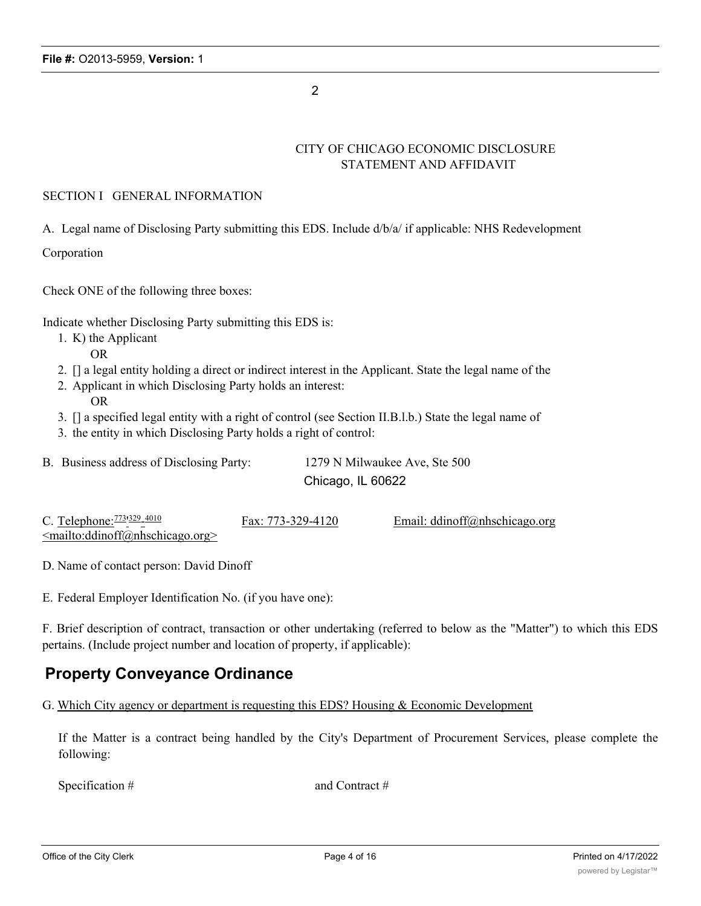2

# CITY OF CHICAGO ECONOMIC DISCLOSURE STATEMENT AND AFFIDAVIT

## SECTION I GENERAL INFORMATION

A. Legal name of Disclosing Party submitting this EDS. Include d/b/a/ if applicable: NHS Redevelopment

Corporation

Check ONE of the following three boxes:

Indicate whether Disclosing Party submitting this EDS is:

- 1. K) the Applicant
	- OR
- 2. [] a legal entity holding a direct or indirect interest in the Applicant. State the legal name of the
- 2. Applicant in which Disclosing Party holds an interest: OR
- 3. [] a specified legal entity with a right of control (see Section II.B.l.b.) State the legal name of
- 3. the entity in which Disclosing Party holds a right of control:

| B. Business address of Disclosing Party: | 1279 N Milwaukee Ave, Ste 500 |
|------------------------------------------|-------------------------------|
|                                          | Chicago, IL 60622             |

| C. Telephone: $\frac{773}{329}$ $\frac{4010}{309}$ | Fax: 773-329-4120 | Email: $ddinoff@nhschicago.org$ |
|----------------------------------------------------|-------------------|---------------------------------|
| $\leq$ mailto:ddinoff@nhschicago.org>              |                   |                                 |

D. Name of contact person: David Dinoff

E. Federal Employer Identification No. (if you have one):

F. Brief description of contract, transaction or other undertaking (referred to below as the "Matter") to which this EDS pertains. (Include project number and location of property, if applicable):

# **Property Conveyance Ordinance**

G. Which City agency or department is requesting this EDS? Housing & Economic Development

If the Matter is a contract being handled by the City's Department of Procurement Services, please complete the following:

Specification # and Contract #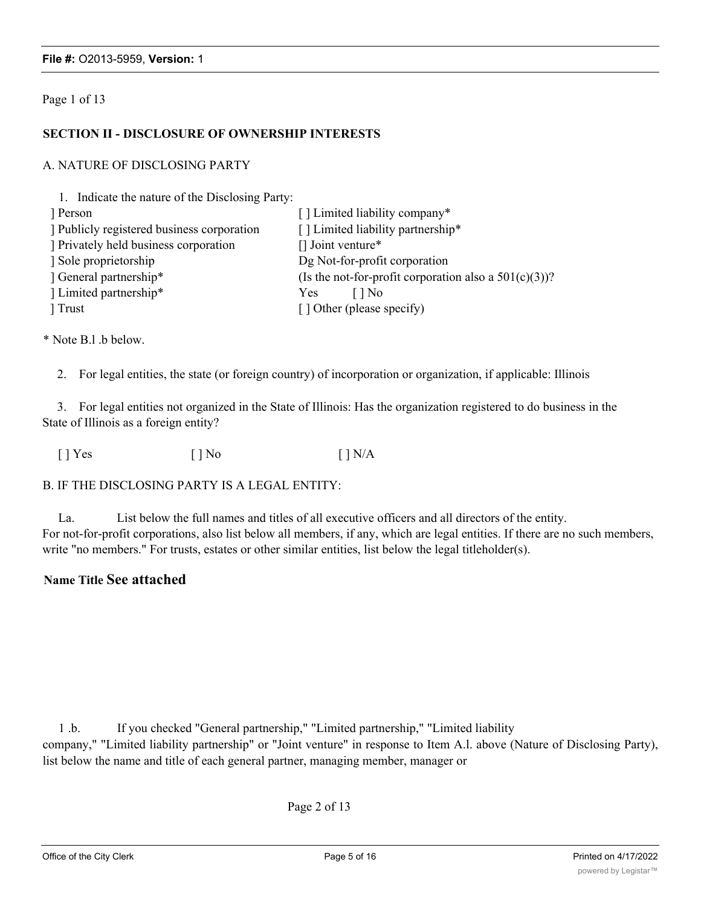#### Page 1 of 13

#### **SECTION II - DISCLOSURE OF OWNERSHIP INTERESTS**

#### A. NATURE OF DISCLOSING PARTY

1. Indicate the nature of the Disclosing Party:

| Person                                   | [] Limited liability company*                            |
|------------------------------------------|----------------------------------------------------------|
| Publicly registered business corporation | [] Limited liability partnership*                        |
| Privately held business corporation      | $\Box$ Joint venture*                                    |
| Sole proprietorship                      | Dg Not-for-profit corporation                            |
| General partnership*                     | (Is the not-for-profit corporation also a $501(c)(3)$ )? |
| Limited partnership*                     | Yes<br>l I No                                            |
| Trust                                    | [] Other (please specify)                                |

\* Note B.l .b below.

2. For legal entities, the state (or foreign country) of incorporation or organization, if applicable: Illinois

3. For legal entities not organized in the State of Illinois: Has the organization registered to do business in the State of Illinois as a foreign entity?

 $[$  | Yes  $[$  | No  $[$  | N/A

#### B. IF THE DISCLOSING PARTY IS A LEGAL ENTITY:

La. List below the full names and titles of all executive officers and all directors of the entity. For not-for-profit corporations, also list below all members, if any, which are legal entities. If there are no such members, write "no members." For trusts, estates or other similar entities, list below the legal titleholder(s).

## **Name Title See attached**

1 .b. If you checked "General partnership," "Limited partnership," "Limited liability company," "Limited liability partnership" or "Joint venture" in response to Item A.l. above (Nature of Disclosing Party), list below the name and title of each general partner, managing member, manager or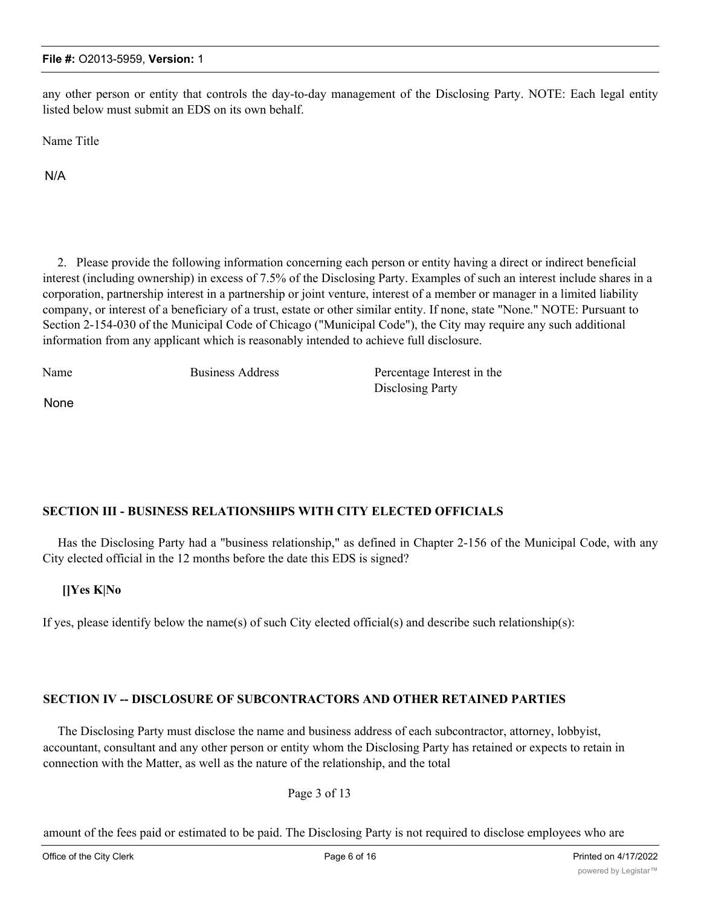any other person or entity that controls the day-to-day management of the Disclosing Party. NOTE: Each legal entity listed below must submit an EDS on its own behalf.

Name Title

N/A

2. Please provide the following information concerning each person or entity having a direct or indirect beneficial interest (including ownership) in excess of 7.5% of the Disclosing Party. Examples of such an interest include shares in a corporation, partnership interest in a partnership or joint venture, interest of a member or manager in a limited liability company, or interest of a beneficiary of a trust, estate or other similar entity. If none, state "None." NOTE: Pursuant to Section 2-154-030 of the Municipal Code of Chicago ("Municipal Code"), the City may require any such additional information from any applicant which is reasonably intended to achieve full disclosure.

Name Business Address Percentage Interest in the Disclosing Party None

## **SECTION III - BUSINESS RELATIONSHIPS WITH CITY ELECTED OFFICIALS**

Has the Disclosing Party had a "business relationship," as defined in Chapter 2-156 of the Municipal Code, with any City elected official in the 12 months before the date this EDS is signed?

## **[]Yes K|No**

If yes, please identify below the name(s) of such City elected official(s) and describe such relationship(s):

## **SECTION IV -- DISCLOSURE OF SUBCONTRACTORS AND OTHER RETAINED PARTIES**

The Disclosing Party must disclose the name and business address of each subcontractor, attorney, lobbyist, accountant, consultant and any other person or entity whom the Disclosing Party has retained or expects to retain in connection with the Matter, as well as the nature of the relationship, and the total

Page 3 of 13

amount of the fees paid or estimated to be paid. The Disclosing Party is not required to disclose employees who are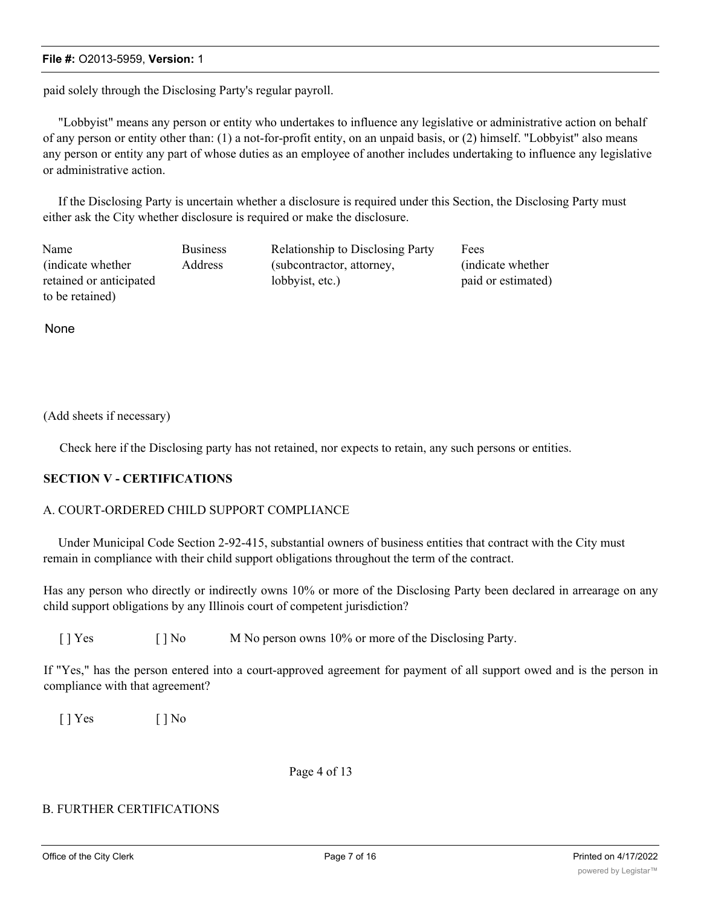paid solely through the Disclosing Party's regular payroll.

"Lobbyist" means any person or entity who undertakes to influence any legislative or administrative action on behalf of any person or entity other than: (1) a not-for-profit entity, on an unpaid basis, or (2) himself. "Lobbyist" also means any person or entity any part of whose duties as an employee of another includes undertaking to influence any legislative or administrative action.

If the Disclosing Party is uncertain whether a disclosure is required under this Section, the Disclosing Party must either ask the City whether disclosure is required or make the disclosure.

| Name                    | <b>Business</b> | <b>Relationship to Disclosing Party</b> | Fees               |
|-------------------------|-----------------|-----------------------------------------|--------------------|
| indicate whether        | Address         | (subcontractor, attorney,               | (indicate whether) |
| retained or anticipated |                 | lobbyist, etc.)                         | paid or estimated) |
| to be retained)         |                 |                                         |                    |

None

(Add sheets if necessary)

Check here if the Disclosing party has not retained, nor expects to retain, any such persons or entities.

#### **SECTION V - CERTIFICATIONS**

#### A. COURT-ORDERED CHILD SUPPORT COMPLIANCE

Under Municipal Code Section 2-92-415, substantial owners of business entities that contract with the City must remain in compliance with their child support obligations throughout the term of the contract.

Has any person who directly or indirectly owns 10% or more of the Disclosing Party been declared in arrearage on any child support obligations by any Illinois court of competent jurisdiction?

[ ] Yes [ ] No M No person owns 10% or more of the Disclosing Party.

If "Yes," has the person entered into a court-approved agreement for payment of all support owed and is the person in compliance with that agreement?

 $[ ]$  Yes  $[ ]$  No

Page 4 of 13

## B. FURTHER CERTIFICATIONS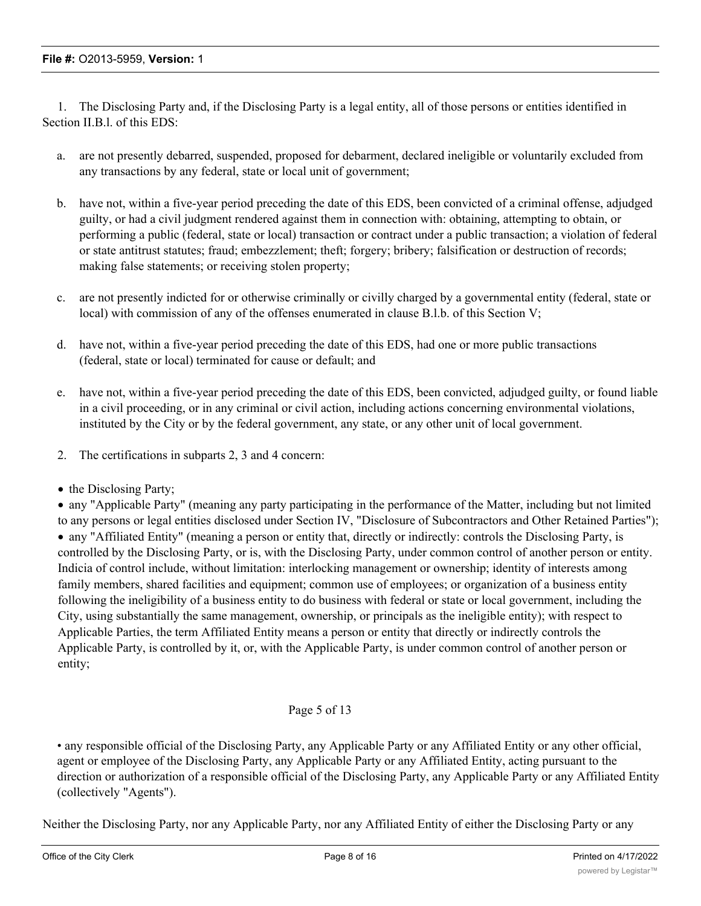1. The Disclosing Party and, if the Disclosing Party is a legal entity, all of those persons or entities identified in Section II.B.l. of this EDS:

- a. are not presently debarred, suspended, proposed for debarment, declared ineligible or voluntarily excluded from any transactions by any federal, state or local unit of government;
- b. have not, within a five-year period preceding the date of this EDS, been convicted of a criminal offense, adjudged guilty, or had a civil judgment rendered against them in connection with: obtaining, attempting to obtain, or performing a public (federal, state or local) transaction or contract under a public transaction; a violation of federal or state antitrust statutes; fraud; embezzlement; theft; forgery; bribery; falsification or destruction of records; making false statements; or receiving stolen property;
- c. are not presently indicted for or otherwise criminally or civilly charged by a governmental entity (federal, state or local) with commission of any of the offenses enumerated in clause B.l.b. of this Section V;
- d. have not, within a five-year period preceding the date of this EDS, had one or more public transactions (federal, state or local) terminated for cause or default; and
- e. have not, within a five-year period preceding the date of this EDS, been convicted, adjudged guilty, or found liable in a civil proceeding, or in any criminal or civil action, including actions concerning environmental violations, instituted by the City or by the federal government, any state, or any other unit of local government.
- 2. The certifications in subparts 2, 3 and 4 concern:
- the Disclosing Party;

· any "Applicable Party" (meaning any party participating in the performance of the Matter, including but not limited to any persons or legal entities disclosed under Section IV, "Disclosure of Subcontractors and Other Retained Parties"); · any "Affiliated Entity" (meaning a person or entity that, directly or indirectly: controls the Disclosing Party, is controlled by the Disclosing Party, or is, with the Disclosing Party, under common control of another person or entity. Indicia of control include, without limitation: interlocking management or ownership; identity of interests among family members, shared facilities and equipment; common use of employees; or organization of a business entity following the ineligibility of a business entity to do business with federal or state or local government, including the City, using substantially the same management, ownership, or principals as the ineligible entity); with respect to Applicable Parties, the term Affiliated Entity means a person or entity that directly or indirectly controls the Applicable Party, is controlled by it, or, with the Applicable Party, is under common control of another person or entity;

## Page 5 of 13

• any responsible official of the Disclosing Party, any Applicable Party or any Affiliated Entity or any other official, agent or employee of the Disclosing Party, any Applicable Party or any Affiliated Entity, acting pursuant to the direction or authorization of a responsible official of the Disclosing Party, any Applicable Party or any Affiliated Entity (collectively "Agents").

Neither the Disclosing Party, nor any Applicable Party, nor any Affiliated Entity of either the Disclosing Party or any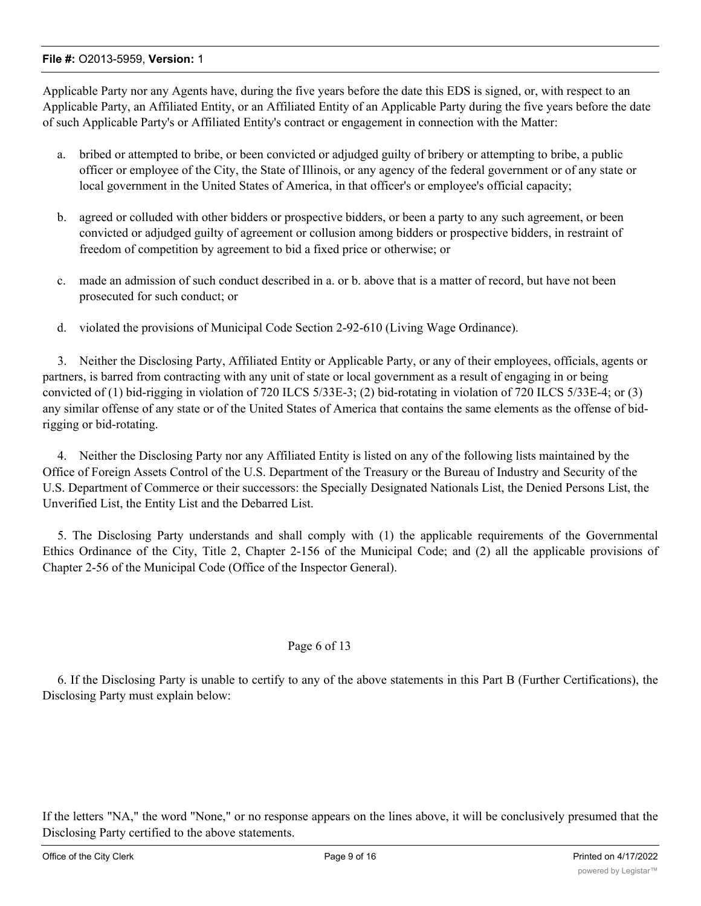Applicable Party nor any Agents have, during the five years before the date this EDS is signed, or, with respect to an Applicable Party, an Affiliated Entity, or an Affiliated Entity of an Applicable Party during the five years before the date of such Applicable Party's or Affiliated Entity's contract or engagement in connection with the Matter:

- a. bribed or attempted to bribe, or been convicted or adjudged guilty of bribery or attempting to bribe, a public officer or employee of the City, the State of Illinois, or any agency of the federal government or of any state or local government in the United States of America, in that officer's or employee's official capacity;
- b. agreed or colluded with other bidders or prospective bidders, or been a party to any such agreement, or been convicted or adjudged guilty of agreement or collusion among bidders or prospective bidders, in restraint of freedom of competition by agreement to bid a fixed price or otherwise; or
- c. made an admission of such conduct described in a. or b. above that is a matter of record, but have not been prosecuted for such conduct; or
- d. violated the provisions of Municipal Code Section 2-92-610 (Living Wage Ordinance).

3. Neither the Disclosing Party, Affiliated Entity or Applicable Party, or any of their employees, officials, agents or partners, is barred from contracting with any unit of state or local government as a result of engaging in or being convicted of (1) bid-rigging in violation of 720 ILCS 5/33E-3; (2) bid-rotating in violation of 720 ILCS 5/33E-4; or (3) any similar offense of any state or of the United States of America that contains the same elements as the offense of bidrigging or bid-rotating.

4. Neither the Disclosing Party nor any Affiliated Entity is listed on any of the following lists maintained by the Office of Foreign Assets Control of the U.S. Department of the Treasury or the Bureau of Industry and Security of the U.S. Department of Commerce or their successors: the Specially Designated Nationals List, the Denied Persons List, the Unverified List, the Entity List and the Debarred List.

5. The Disclosing Party understands and shall comply with (1) the applicable requirements of the Governmental Ethics Ordinance of the City, Title 2, Chapter 2-156 of the Municipal Code; and (2) all the applicable provisions of Chapter 2-56 of the Municipal Code (Office of the Inspector General).

## Page 6 of 13

6. If the Disclosing Party is unable to certify to any of the above statements in this Part B (Further Certifications), the Disclosing Party must explain below:

If the letters "NA," the word "None," or no response appears on the lines above, it will be conclusively presumed that the Disclosing Party certified to the above statements.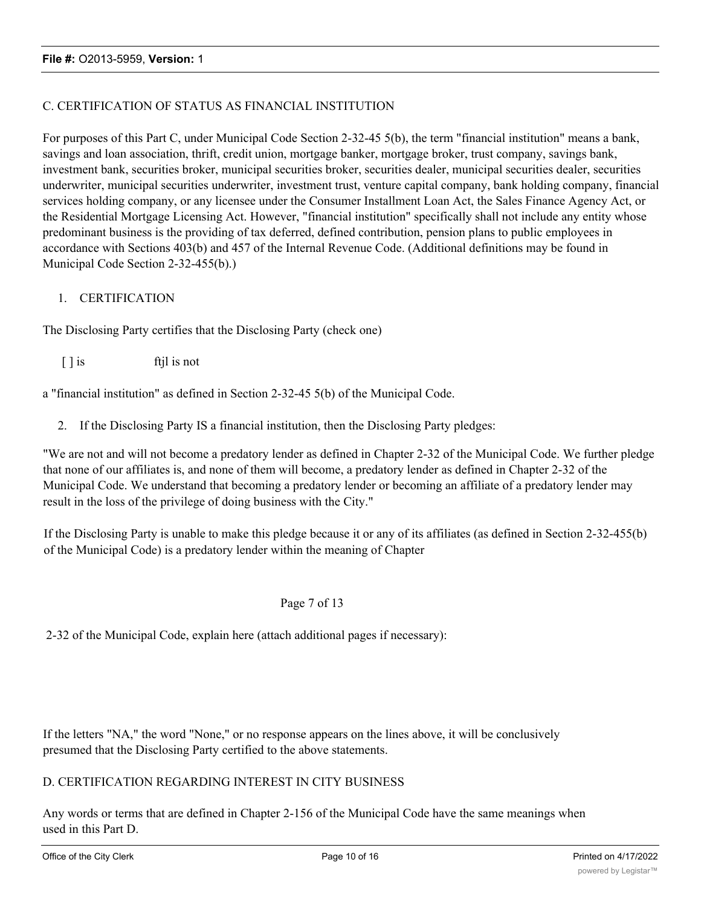## C. CERTIFICATION OF STATUS AS FINANCIAL INSTITUTION

For purposes of this Part C, under Municipal Code Section 2-32-45 5(b), the term "financial institution" means a bank, savings and loan association, thrift, credit union, mortgage banker, mortgage broker, trust company, savings bank, investment bank, securities broker, municipal securities broker, securities dealer, municipal securities dealer, securities underwriter, municipal securities underwriter, investment trust, venture capital company, bank holding company, financial services holding company, or any licensee under the Consumer Installment Loan Act, the Sales Finance Agency Act, or the Residential Mortgage Licensing Act. However, "financial institution" specifically shall not include any entity whose predominant business is the providing of tax deferred, defined contribution, pension plans to public employees in accordance with Sections 403(b) and 457 of the Internal Revenue Code. (Additional definitions may be found in Municipal Code Section 2-32-455(b).)

## 1. CERTIFICATION

The Disclosing Party certifies that the Disclosing Party (check one)

[ ] is ftil is not

a "financial institution" as defined in Section 2-32-45 5(b) of the Municipal Code.

2. If the Disclosing Party IS a financial institution, then the Disclosing Party pledges:

"We are not and will not become a predatory lender as defined in Chapter 2-32 of the Municipal Code. We further pledge that none of our affiliates is, and none of them will become, a predatory lender as defined in Chapter 2-32 of the Municipal Code. We understand that becoming a predatory lender or becoming an affiliate of a predatory lender may result in the loss of the privilege of doing business with the City."

If the Disclosing Party is unable to make this pledge because it or any of its affiliates (as defined in Section 2-32-455(b) of the Municipal Code) is a predatory lender within the meaning of Chapter

#### Page 7 of 13

2-32 of the Municipal Code, explain here (attach additional pages if necessary):

If the letters "NA," the word "None," or no response appears on the lines above, it will be conclusively presumed that the Disclosing Party certified to the above statements.

#### D. CERTIFICATION REGARDING INTEREST IN CITY BUSINESS

Any words or terms that are defined in Chapter 2-156 of the Municipal Code have the same meanings when used in this Part D.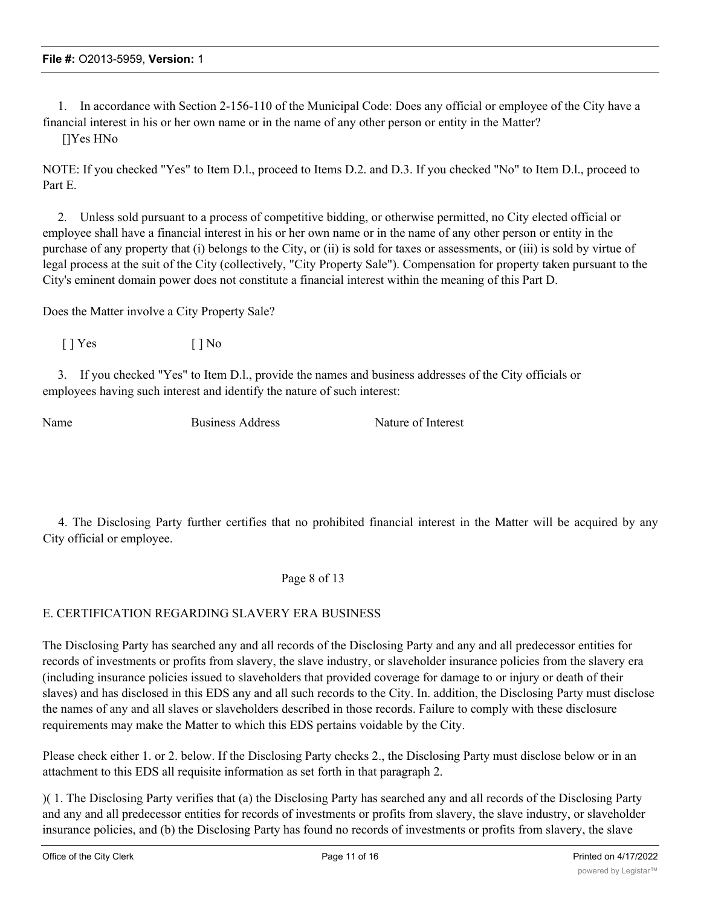1. In accordance with Section 2-156-110 of the Municipal Code: Does any official or employee of the City have a financial interest in his or her own name or in the name of any other person or entity in the Matter?

[]Yes HNo

NOTE: If you checked "Yes" to Item D.l., proceed to Items D.2. and D.3. If you checked "No" to Item D.l., proceed to Part E.

2. Unless sold pursuant to a process of competitive bidding, or otherwise permitted, no City elected official or employee shall have a financial interest in his or her own name or in the name of any other person or entity in the purchase of any property that (i) belongs to the City, or (ii) is sold for taxes or assessments, or (iii) is sold by virtue of legal process at the suit of the City (collectively, "City Property Sale"). Compensation for property taken pursuant to the City's eminent domain power does not constitute a financial interest within the meaning of this Part D.

Does the Matter involve a City Property Sale?

 $[ ]$  Yes  $[ ]$  No

3. If you checked "Yes" to Item D.l., provide the names and business addresses of the City officials or employees having such interest and identify the nature of such interest:

Name Business Address Nature of Interest

4. The Disclosing Party further certifies that no prohibited financial interest in the Matter will be acquired by any City official or employee.

Page 8 of 13

## E. CERTIFICATION REGARDING SLAVERY ERA BUSINESS

The Disclosing Party has searched any and all records of the Disclosing Party and any and all predecessor entities for records of investments or profits from slavery, the slave industry, or slaveholder insurance policies from the slavery era (including insurance policies issued to slaveholders that provided coverage for damage to or injury or death of their slaves) and has disclosed in this EDS any and all such records to the City. In. addition, the Disclosing Party must disclose the names of any and all slaves or slaveholders described in those records. Failure to comply with these disclosure requirements may make the Matter to which this EDS pertains voidable by the City.

Please check either 1. or 2. below. If the Disclosing Party checks 2., the Disclosing Party must disclose below or in an attachment to this EDS all requisite information as set forth in that paragraph 2.

)( 1. The Disclosing Party verifies that (a) the Disclosing Party has searched any and all records of the Disclosing Party and any and all predecessor entities for records of investments or profits from slavery, the slave industry, or slaveholder insurance policies, and (b) the Disclosing Party has found no records of investments or profits from slavery, the slave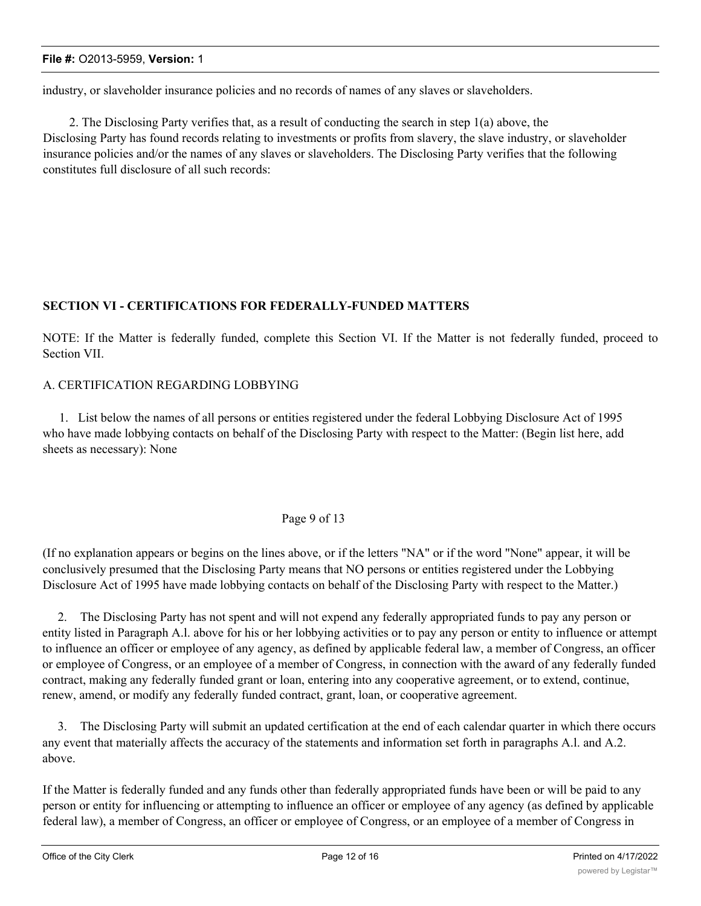industry, or slaveholder insurance policies and no records of names of any slaves or slaveholders.

2. The Disclosing Party verifies that, as a result of conducting the search in step 1(a) above, the Disclosing Party has found records relating to investments or profits from slavery, the slave industry, or slaveholder insurance policies and/or the names of any slaves or slaveholders. The Disclosing Party verifies that the following constitutes full disclosure of all such records:

# **SECTION VI - CERTIFICATIONS FOR FEDERALLY-FUNDED MATTERS**

NOTE: If the Matter is federally funded, complete this Section VI. If the Matter is not federally funded, proceed to Section VII.

## A. CERTIFICATION REGARDING LOBBYING

1. List below the names of all persons or entities registered under the federal Lobbying Disclosure Act of 1995 who have made lobbying contacts on behalf of the Disclosing Party with respect to the Matter: (Begin list here, add sheets as necessary): None

## Page 9 of 13

(If no explanation appears or begins on the lines above, or if the letters "NA" or if the word "None" appear, it will be conclusively presumed that the Disclosing Party means that NO persons or entities registered under the Lobbying Disclosure Act of 1995 have made lobbying contacts on behalf of the Disclosing Party with respect to the Matter.)

2. The Disclosing Party has not spent and will not expend any federally appropriated funds to pay any person or entity listed in Paragraph A.l. above for his or her lobbying activities or to pay any person or entity to influence or attempt to influence an officer or employee of any agency, as defined by applicable federal law, a member of Congress, an officer or employee of Congress, or an employee of a member of Congress, in connection with the award of any federally funded contract, making any federally funded grant or loan, entering into any cooperative agreement, or to extend, continue, renew, amend, or modify any federally funded contract, grant, loan, or cooperative agreement.

3. The Disclosing Party will submit an updated certification at the end of each calendar quarter in which there occurs any event that materially affects the accuracy of the statements and information set forth in paragraphs A.l. and A.2. above.

If the Matter is federally funded and any funds other than federally appropriated funds have been or will be paid to any person or entity for influencing or attempting to influence an officer or employee of any agency (as defined by applicable federal law), a member of Congress, an officer or employee of Congress, or an employee of a member of Congress in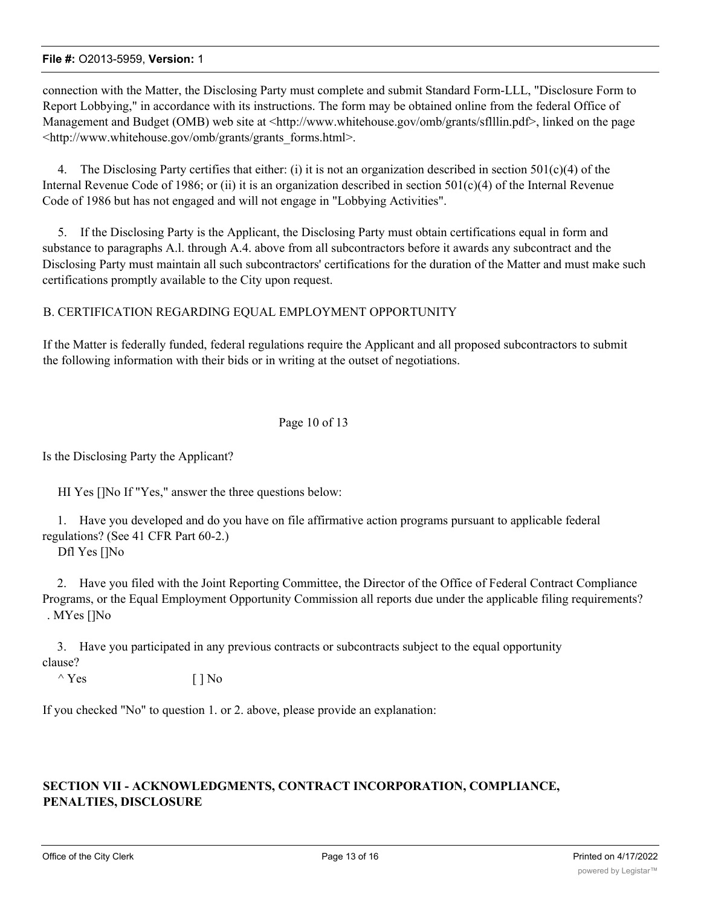connection with the Matter, the Disclosing Party must complete and submit Standard Form-LLL, "Disclosure Form to Report Lobbying," in accordance with its instructions. The form may be obtained online from the federal Office of Management and Budget (OMB) web site at <http://www.whitehouse.gov/omb/grants/sflllin.pdf>, linked on the page <http://www.whitehouse.gov/omb/grants/grants\_forms.html>.

4. The Disclosing Party certifies that either: (i) it is not an organization described in section  $501(c)(4)$  of the Internal Revenue Code of 1986; or (ii) it is an organization described in section  $501(c)(4)$  of the Internal Revenue Code of 1986 but has not engaged and will not engage in "Lobbying Activities".

5. If the Disclosing Party is the Applicant, the Disclosing Party must obtain certifications equal in form and substance to paragraphs A.l. through A.4. above from all subcontractors before it awards any subcontract and the Disclosing Party must maintain all such subcontractors' certifications for the duration of the Matter and must make such certifications promptly available to the City upon request.

## B. CERTIFICATION REGARDING EQUAL EMPLOYMENT OPPORTUNITY

If the Matter is federally funded, federal regulations require the Applicant and all proposed subcontractors to submit the following information with their bids or in writing at the outset of negotiations.

## Page 10 of 13

Is the Disclosing Party the Applicant?

HI Yes []No If "Yes," answer the three questions below:

1. Have you developed and do you have on file affirmative action programs pursuant to applicable federal regulations? (See 41 CFR Part 60-2.)

Dfl Yes []No

2. Have you filed with the Joint Reporting Committee, the Director of the Office of Federal Contract Compliance Programs, or the Equal Employment Opportunity Commission all reports due under the applicable filing requirements? . MYes []No

3. Have you participated in any previous contracts or subcontracts subject to the equal opportunity clause?

 $\wedge$  Yes [ ] No

If you checked "No" to question 1. or 2. above, please provide an explanation:

# **SECTION VII - ACKNOWLEDGMENTS, CONTRACT INCORPORATION, COMPLIANCE, PENALTIES, DISCLOSURE**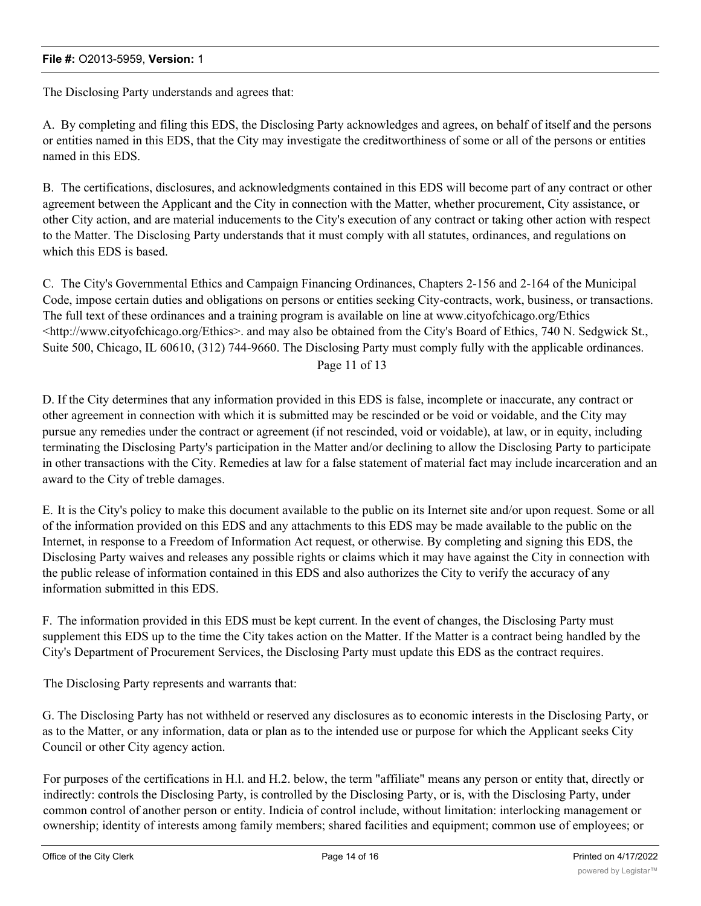The Disclosing Party understands and agrees that:

A. By completing and filing this EDS, the Disclosing Party acknowledges and agrees, on behalf of itself and the persons or entities named in this EDS, that the City may investigate the creditworthiness of some or all of the persons or entities named in this EDS.

B. The certifications, disclosures, and acknowledgments contained in this EDS will become part of any contract or other agreement between the Applicant and the City in connection with the Matter, whether procurement, City assistance, or other City action, and are material inducements to the City's execution of any contract or taking other action with respect to the Matter. The Disclosing Party understands that it must comply with all statutes, ordinances, and regulations on which this EDS is based.

C. The City's Governmental Ethics and Campaign Financing Ordinances, Chapters 2-156 and 2-164 of the Municipal Code, impose certain duties and obligations on persons or entities seeking City-contracts, work, business, or transactions. The full text of these ordinances and a training program is available on line at www.cityofchicago.org/Ethics <http://www.cityofchicago.org/Ethics>. and may also be obtained from the City's Board of Ethics, 740 N. Sedgwick St., Suite 500, Chicago, IL 60610, (312) 744-9660. The Disclosing Party must comply fully with the applicable ordinances. Page 11 of 13

D. If the City determines that any information provided in this EDS is false, incomplete or inaccurate, any contract or other agreement in connection with which it is submitted may be rescinded or be void or voidable, and the City may pursue any remedies under the contract or agreement (if not rescinded, void or voidable), at law, or in equity, including terminating the Disclosing Party's participation in the Matter and/or declining to allow the Disclosing Party to participate in other transactions with the City. Remedies at law for a false statement of material fact may include incarceration and an award to the City of treble damages.

E. It is the City's policy to make this document available to the public on its Internet site and/or upon request. Some or all of the information provided on this EDS and any attachments to this EDS may be made available to the public on the Internet, in response to a Freedom of Information Act request, or otherwise. By completing and signing this EDS, the Disclosing Party waives and releases any possible rights or claims which it may have against the City in connection with the public release of information contained in this EDS and also authorizes the City to verify the accuracy of any information submitted in this EDS.

F. The information provided in this EDS must be kept current. In the event of changes, the Disclosing Party must supplement this EDS up to the time the City takes action on the Matter. If the Matter is a contract being handled by the City's Department of Procurement Services, the Disclosing Party must update this EDS as the contract requires.

The Disclosing Party represents and warrants that:

G. The Disclosing Party has not withheld or reserved any disclosures as to economic interests in the Disclosing Party, or as to the Matter, or any information, data or plan as to the intended use or purpose for which the Applicant seeks City Council or other City agency action.

For purposes of the certifications in H.l. and H.2. below, the term "affiliate" means any person or entity that, directly or indirectly: controls the Disclosing Party, is controlled by the Disclosing Party, or is, with the Disclosing Party, under common control of another person or entity. Indicia of control include, without limitation: interlocking management or ownership; identity of interests among family members; shared facilities and equipment; common use of employees; or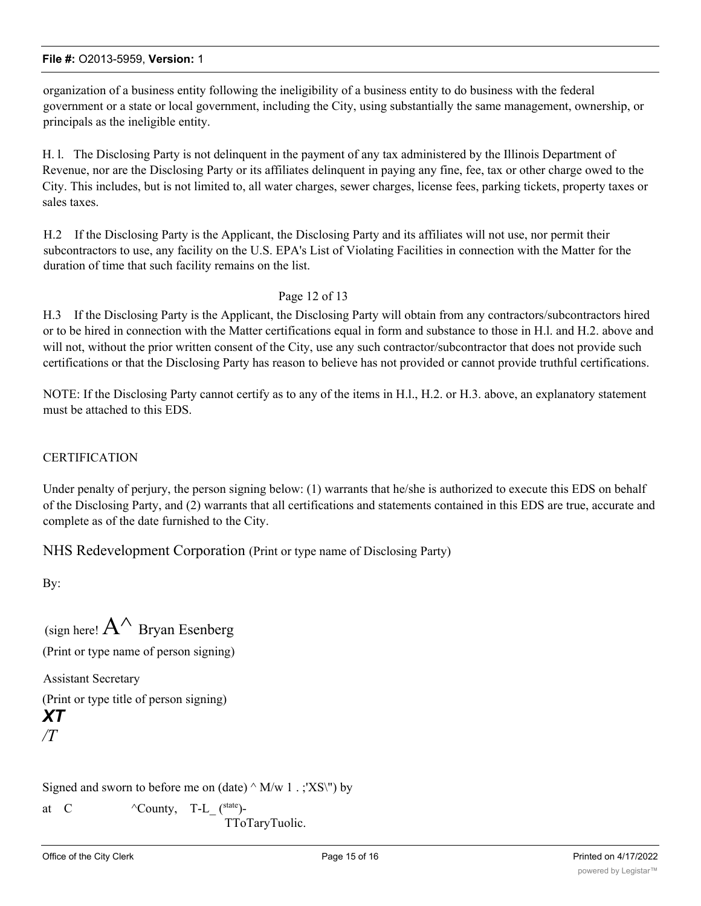organization of a business entity following the ineligibility of a business entity to do business with the federal government or a state or local government, including the City, using substantially the same management, ownership, or principals as the ineligible entity.

H. l. The Disclosing Party is not delinquent in the payment of any tax administered by the Illinois Department of Revenue, nor are the Disclosing Party or its affiliates delinquent in paying any fine, fee, tax or other charge owed to the City. This includes, but is not limited to, all water charges, sewer charges, license fees, parking tickets, property taxes or sales taxes.

H.2 If the Disclosing Party is the Applicant, the Disclosing Party and its affiliates will not use, nor permit their subcontractors to use, any facility on the U.S. EPA's List of Violating Facilities in connection with the Matter for the duration of time that such facility remains on the list.

## Page 12 of 13

H.3 If the Disclosing Party is the Applicant, the Disclosing Party will obtain from any contractors/subcontractors hired or to be hired in connection with the Matter certifications equal in form and substance to those in H.l. and H.2. above and will not, without the prior written consent of the City, use any such contractor/subcontractor that does not provide such certifications or that the Disclosing Party has reason to believe has not provided or cannot provide truthful certifications.

NOTE: If the Disclosing Party cannot certify as to any of the items in H.l., H.2. or H.3. above, an explanatory statement must be attached to this EDS.

## **CERTIFICATION**

Under penalty of perjury, the person signing below: (1) warrants that he/she is authorized to execute this EDS on behalf of the Disclosing Party, and (2) warrants that all certifications and statements contained in this EDS are true, accurate and complete as of the date furnished to the City.

NHS Redevelopment Corporation (Print or type name of Disclosing Party)

By:

| (sign here! $A^{\wedge}$ Bryan Esenberg) |  |  |
|------------------------------------------|--|--|
| (Print or type name of person signing)   |  |  |
| <b>Assistant Secretary</b>               |  |  |
| (Print or type title of person signing)  |  |  |
| XT                                       |  |  |
| $\prime\prime$                           |  |  |

Signed and sworn to before me on (date)  $\land$  M/w 1 . ;'XS\") by

at C  $\wedge$  County, T-L (state)-

TToTaryTuolic.